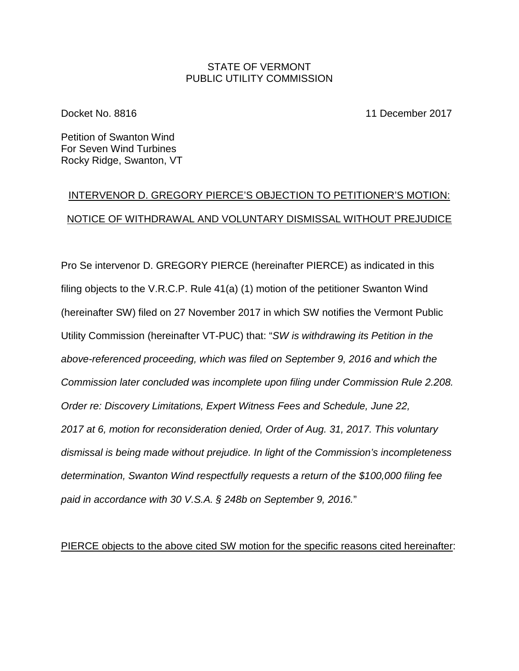### STATE OF VERMONT PUBLIC UTILITY COMMISSION

Docket No. 8816 11 December 2017

Petition of Swanton Wind For Seven Wind Turbines Rocky Ridge, Swanton, VT

# INTERVENOR D. GREGORY PIERCE'S OBJECTION TO PETITIONER'S MOTION: NOTICE OF WITHDRAWAL AND VOLUNTARY DISMISSAL WITHOUT PREJUDICE

Pro Se intervenor D. GREGORY PIERCE (hereinafter PIERCE) as indicated in this filing objects to the V.R.C.P. Rule 41(a) (1) motion of the petitioner Swanton Wind (hereinafter SW) filed on 27 November 2017 in which SW notifies the Vermont Public Utility Commission (hereinafter VT-PUC) that: "*SW is withdrawing its Petition in the above-referenced proceeding, which was filed on September 9, 2016 and which the Commission later concluded was incomplete upon filing under Commission Rule 2.208. Order re: Discovery Limitations, Expert Witness Fees and Schedule, June 22, 2017 at 6, motion for reconsideration denied, Order of Aug. 31, 2017. This voluntary dismissal is being made without prejudice. In light of the Commission's incompleteness determination, Swanton Wind respectfully requests a return of the \$100,000 filing fee paid in accordance with 30 V.S.A. § 248b on September 9, 2016.*"

PIERCE objects to the above cited SW motion for the specific reasons cited hereinafter: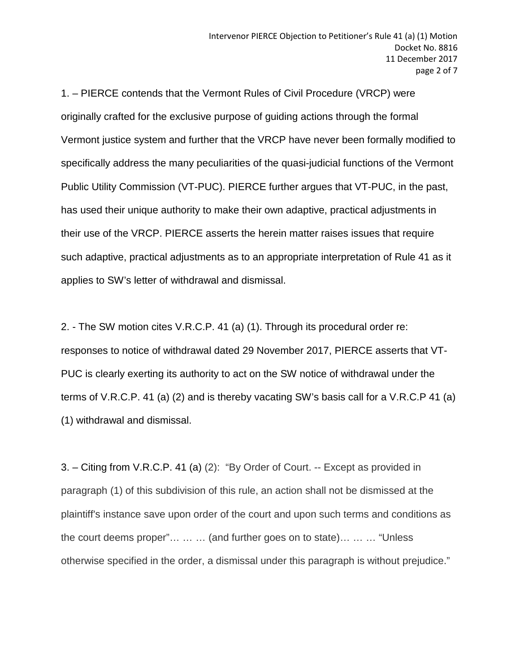1. – PIERCE contends that the Vermont Rules of Civil Procedure (VRCP) were originally crafted for the exclusive purpose of guiding actions through the formal Vermont justice system and further that the VRCP have never been formally modified to specifically address the many peculiarities of the quasi-judicial functions of the Vermont Public Utility Commission (VT-PUC). PIERCE further argues that VT-PUC, in the past, has used their unique authority to make their own adaptive, practical adjustments in their use of the VRCP. PIERCE asserts the herein matter raises issues that require such adaptive, practical adjustments as to an appropriate interpretation of Rule 41 as it applies to SW's letter of withdrawal and dismissal.

2. - The SW motion cites V.R.C.P. 41 (a) (1). Through its procedural order re: responses to notice of withdrawal dated 29 November 2017, PIERCE asserts that VT-PUC is clearly exerting its authority to act on the SW notice of withdrawal under the terms of V.R.C.P. 41 (a) (2) and is thereby vacating SW's basis call for a V.R.C.P 41 (a) (1) withdrawal and dismissal.

3. – Citing from V.R.C.P. 41 (a) (2): "By Order of Court. -- Except as provided in paragraph (1) of this subdivision of this rule, an action shall not be dismissed at the plaintiff's instance save upon order of the court and upon such terms and conditions as the court deems proper"… … … (and further goes on to state)… … … "Unless otherwise specified in the order, a dismissal under this paragraph is without prejudice."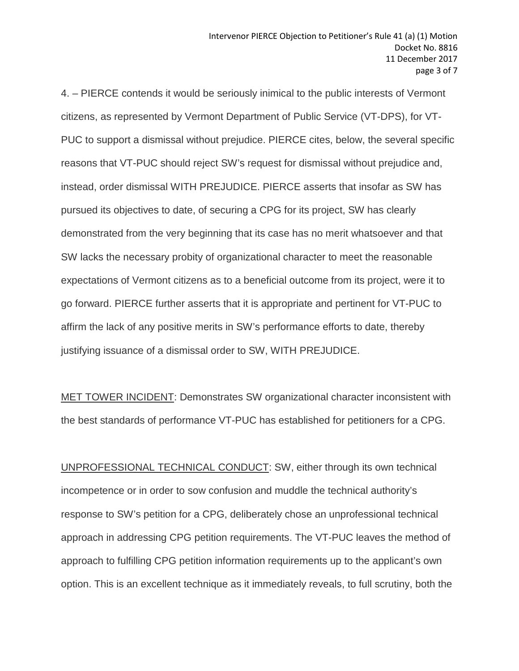4. – PIERCE contends it would be seriously inimical to the public interests of Vermont citizens, as represented by Vermont Department of Public Service (VT-DPS), for VT-PUC to support a dismissal without prejudice. PIERCE cites, below, the several specific reasons that VT-PUC should reject SW's request for dismissal without prejudice and, instead, order dismissal WITH PREJUDICE. PIERCE asserts that insofar as SW has pursued its objectives to date, of securing a CPG for its project, SW has clearly demonstrated from the very beginning that its case has no merit whatsoever and that SW lacks the necessary probity of organizational character to meet the reasonable expectations of Vermont citizens as to a beneficial outcome from its project, were it to go forward. PIERCE further asserts that it is appropriate and pertinent for VT-PUC to affirm the lack of any positive merits in SW's performance efforts to date, thereby justifying issuance of a dismissal order to SW, WITH PREJUDICE.

MET TOWER INCIDENT: Demonstrates SW organizational character inconsistent with the best standards of performance VT-PUC has established for petitioners for a CPG.

UNPROFESSIONAL TECHNICAL CONDUCT: SW, either through its own technical incompetence or in order to sow confusion and muddle the technical authority's response to SW's petition for a CPG, deliberately chose an unprofessional technical approach in addressing CPG petition requirements. The VT-PUC leaves the method of approach to fulfilling CPG petition information requirements up to the applicant's own option. This is an excellent technique as it immediately reveals, to full scrutiny, both the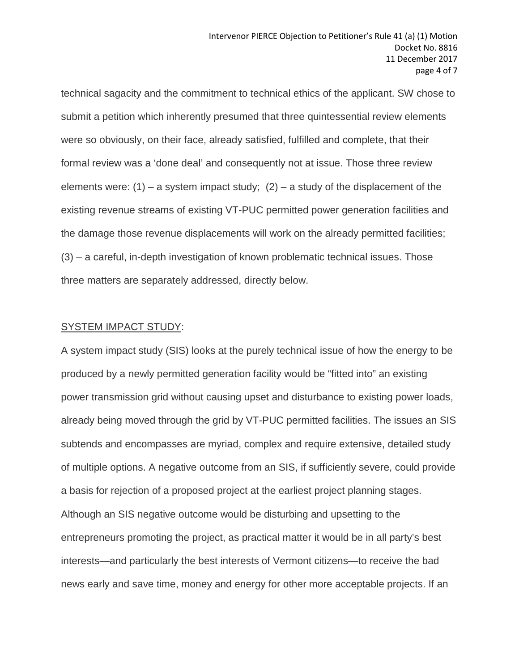technical sagacity and the commitment to technical ethics of the applicant. SW chose to submit a petition which inherently presumed that three quintessential review elements were so obviously, on their face, already satisfied, fulfilled and complete, that their formal review was a 'done deal' and consequently not at issue. Those three review elements were:  $(1)$  – a system impact study;  $(2)$  – a study of the displacement of the existing revenue streams of existing VT-PUC permitted power generation facilities and the damage those revenue displacements will work on the already permitted facilities; (3) – a careful, in-depth investigation of known problematic technical issues. Those three matters are separately addressed, directly below.

#### SYSTEM IMPACT STUDY:

A system impact study (SIS) looks at the purely technical issue of how the energy to be produced by a newly permitted generation facility would be "fitted into" an existing power transmission grid without causing upset and disturbance to existing power loads, already being moved through the grid by VT-PUC permitted facilities. The issues an SIS subtends and encompasses are myriad, complex and require extensive, detailed study of multiple options. A negative outcome from an SIS, if sufficiently severe, could provide a basis for rejection of a proposed project at the earliest project planning stages. Although an SIS negative outcome would be disturbing and upsetting to the entrepreneurs promoting the project, as practical matter it would be in all party's best interests—and particularly the best interests of Vermont citizens—to receive the bad news early and save time, money and energy for other more acceptable projects. If an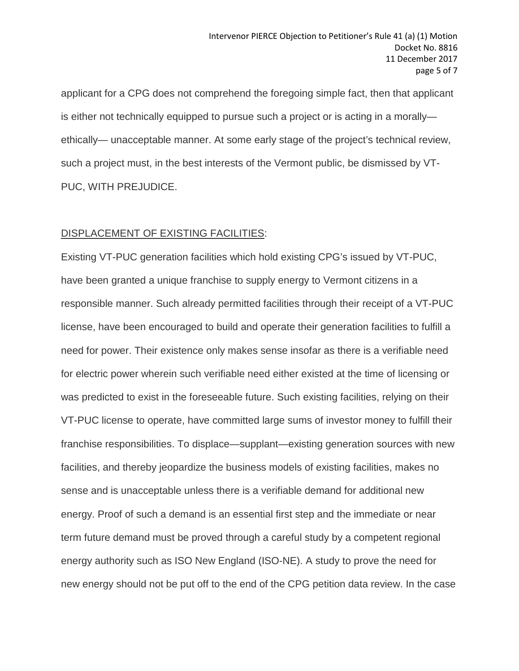applicant for a CPG does not comprehend the foregoing simple fact, then that applicant is either not technically equipped to pursue such a project or is acting in a morally ethically— unacceptable manner. At some early stage of the project's technical review, such a project must, in the best interests of the Vermont public, be dismissed by VT-PUC, WITH PREJUDICE.

# DISPLACEMENT OF EXISTING FACILITIES:

Existing VT-PUC generation facilities which hold existing CPG's issued by VT-PUC, have been granted a unique franchise to supply energy to Vermont citizens in a responsible manner. Such already permitted facilities through their receipt of a VT-PUC license, have been encouraged to build and operate their generation facilities to fulfill a need for power. Their existence only makes sense insofar as there is a verifiable need for electric power wherein such verifiable need either existed at the time of licensing or was predicted to exist in the foreseeable future. Such existing facilities, relying on their VT-PUC license to operate, have committed large sums of investor money to fulfill their franchise responsibilities. To displace—supplant—existing generation sources with new facilities, and thereby jeopardize the business models of existing facilities, makes no sense and is unacceptable unless there is a verifiable demand for additional new energy. Proof of such a demand is an essential first step and the immediate or near term future demand must be proved through a careful study by a competent regional energy authority such as ISO New England (ISO-NE). A study to prove the need for new energy should not be put off to the end of the CPG petition data review. In the case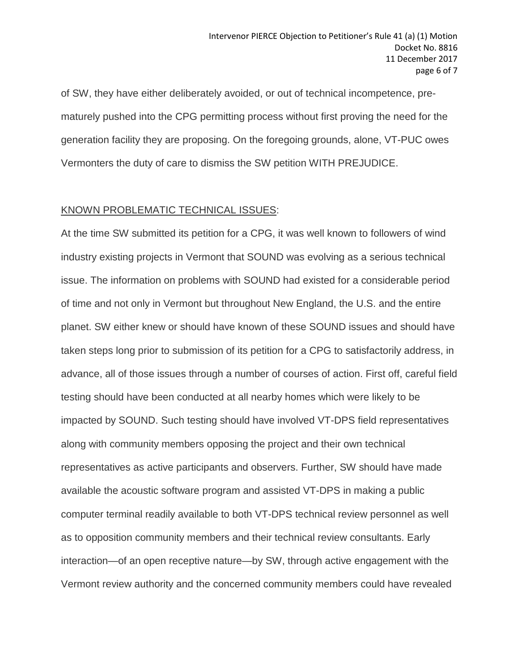of SW, they have either deliberately avoided, or out of technical incompetence, prematurely pushed into the CPG permitting process without first proving the need for the generation facility they are proposing. On the foregoing grounds, alone, VT-PUC owes Vermonters the duty of care to dismiss the SW petition WITH PREJUDICE.

## KNOWN PROBLEMATIC TECHNICAL ISSUES:

At the time SW submitted its petition for a CPG, it was well known to followers of wind industry existing projects in Vermont that SOUND was evolving as a serious technical issue. The information on problems with SOUND had existed for a considerable period of time and not only in Vermont but throughout New England, the U.S. and the entire planet. SW either knew or should have known of these SOUND issues and should have taken steps long prior to submission of its petition for a CPG to satisfactorily address, in advance, all of those issues through a number of courses of action. First off, careful field testing should have been conducted at all nearby homes which were likely to be impacted by SOUND. Such testing should have involved VT-DPS field representatives along with community members opposing the project and their own technical representatives as active participants and observers. Further, SW should have made available the acoustic software program and assisted VT-DPS in making a public computer terminal readily available to both VT-DPS technical review personnel as well as to opposition community members and their technical review consultants. Early interaction—of an open receptive nature—by SW, through active engagement with the Vermont review authority and the concerned community members could have revealed